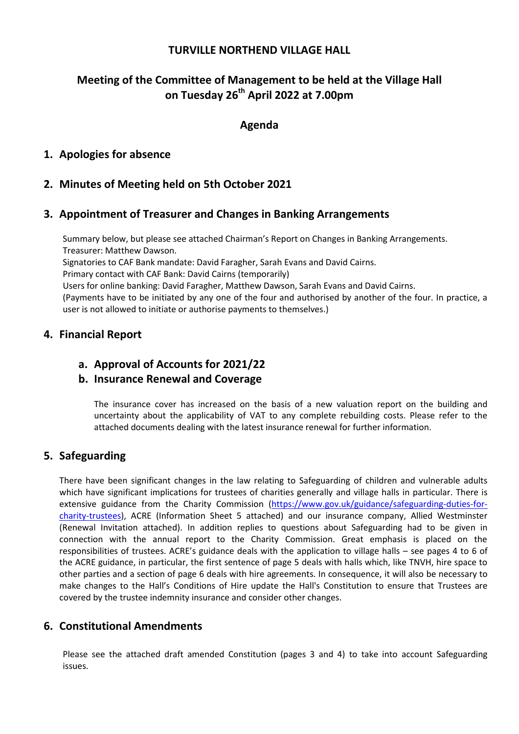## **TURVILLE NORTHEND VILLAGE HALL**

# **Meeting of the Committee of Management to be held at the Village Hall on Tuesday 26th April 2022 at 7.00pm**

### **Agenda**

## **1. Apologies for absence**

## **2. Minutes of Meeting held on 5th October 2021**

### **3. Appointment of Treasurer and Changes in Banking Arrangements**

Summary below, but please see attached Chairman's Report on Changes in Banking Arrangements. Treasurer: Matthew Dawson.

Signatories to CAF Bank mandate: David Faragher, Sarah Evans and David Cairns.

Primary contact with CAF Bank: David Cairns (temporarily)

Users for online banking: David Faragher, Matthew Dawson, Sarah Evans and David Cairns.

(Payments have to be initiated by any one of the four and authorised by another of the four. In practice, a user is not allowed to initiate or authorise payments to themselves.)

#### **4. Financial Report**

#### **a. Approval of Accounts for 2021/22**

#### **b. Insurance Renewal and Coverage**

The insurance cover has increased on the basis of a new valuation report on the building and uncertainty about the applicability of VAT to any complete rebuilding costs. Please refer to the attached documents dealing with the latest insurance renewal for further information.

#### **5. Safeguarding**

There have been significant changes in the law relating to Safeguarding of children and vulnerable adults which have significant implications for trustees of charities generally and village halls in particular. There is extensive guidance from the Charity Commission [\(https://www.gov.uk/guidance/safeguarding-duties-for](https://www.gov.uk/guidance/safeguarding-duties-for-charity-trustees)[charity-trustees\)](https://www.gov.uk/guidance/safeguarding-duties-for-charity-trustees), ACRE (Information Sheet 5 attached) and our insurance company, Allied Westminster (Renewal Invitation attached). In addition replies to questions about Safeguarding had to be given in connection with the annual report to the Charity Commission. Great emphasis is placed on the responsibilities of trustees. ACRE's guidance deals with the application to village halls – see pages 4 to 6 of the ACRE guidance, in particular, the first sentence of page 5 deals with halls which, like TNVH, hire space to other parties and a section of page 6 deals with hire agreements. In consequence, it will also be necessary to make changes to the Hall's Conditions of Hire update the Hall's Constitution to ensure that Trustees are covered by the trustee indemnity insurance and consider other changes.

## **6. Constitutional Amendments**

Please see the attached draft amended Constitution (pages 3 and 4) to take into account Safeguarding issues.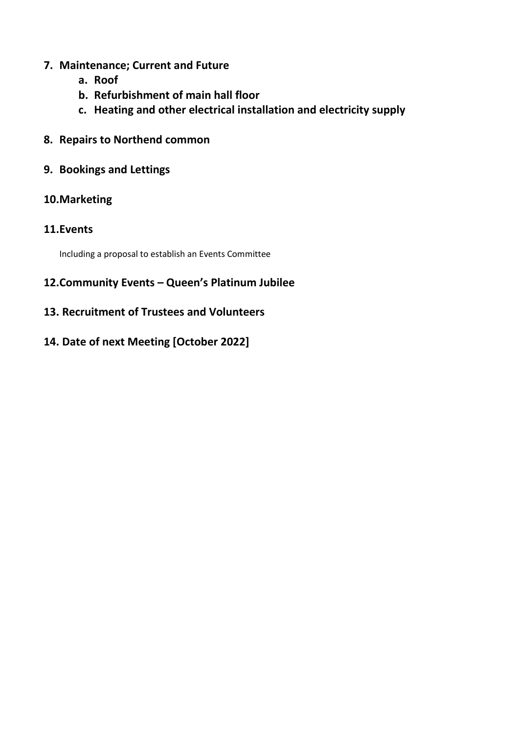# **7. Maintenance; Current and Future**

- **a. Roof**
- **b. Refurbishment of main hall floor**
- **c. Heating and other electrical installation and electricity supply**
- **8. Repairs to Northend common**
- **9. Bookings and Lettings**

## **10.Marketing**

## **11.Events**

Including a proposal to establish an Events Committee

# **12.Community Events – Queen's Platinum Jubilee**

**13. Recruitment of Trustees and Volunteers**

# **14. Date of next Meeting [October 2022]**